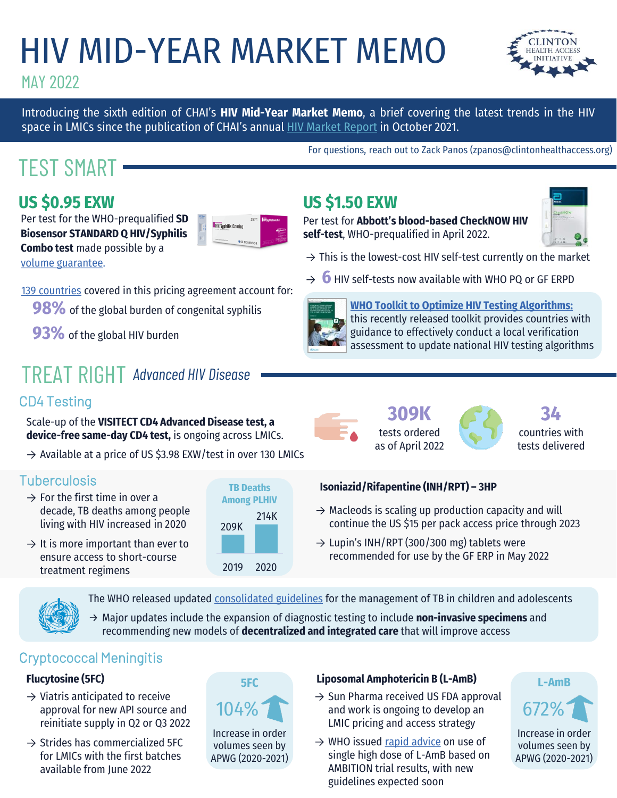# HIV MID-YEAR MARKET MEMO



Introducing the sixth edition of CHAI's **HIV Mid-Year Market Memo**, a brief covering the latest trends in the HIV space in LMICs since the publication of CHAI's annual **HIV [Market](https://www.clintonhealthaccess.org/wp-content/uploads/2021/10/2021-CHAI-HIV-Market-Report.pdf) Report** in October 2021.

## TEST SMART

### **US \$0.95 EXW**

Per test for the WHO-prequalified **SD Biosensor STANDARD Q HIV/Syphilis Combo test** made possible by a

[volume guarantee](https://www.clintonhealthaccess.org/dual-syphilis-hiv-rdt-for-under-US1/).

- [139 countries](https://medaccess.org/wp-content/uploads/2021/11/Dual-RDT-eligible-countries.pdf) covered in this pricing agreement account for:
	- **98%** of the global burden of congenital syphilis
	- **93%** of the global HIV burden

## TREAT RIGHT *Advanced HIV Disease*

### CD4 Testing

Scale-up of the **VISITECT CD4 Advanced Disease test, a device-free same-day CD4 test,** is ongoing across LMICs.

 $\rightarrow$  Available at a price of US \$3.98 EXW/test in over 130 LMICs

### **Tuberculosis**

- $\rightarrow$  For the first time in over a decade, TB deaths among people living with HIV increased in 2020
- $\rightarrow$  It is more important than ever to ensure access to short-course treatment regimens

| <b>TB Deaths</b><br><b>Among PLHIV</b> |      |  |
|----------------------------------------|------|--|
| 209K                                   | 214K |  |
| 2019                                   | 2020 |  |





tests ordered as of April 2022

**34**  countries with tests delivered

### **Isoniazid/Rifapentine (INH/RPT) – 3HP**

 $\rightarrow$  Macleods is scaling up production capacity and will continue the US \$15 per pack access price through 2023

For questions, reach out to Zack Panos (zpanos@clintonhealthaccess.org)

**[WHO Toolkit to Optimize HIV Testing Algorithms:](https://www.who.int/tools/optimizing-hiv-testing-algorithms-toolkit)**  this recently released toolkit provides countries with guidance to effectively conduct a local verification assessment to update national HIV testing algorithms

 $\rightarrow$  This is the lowest-cost HIV self-test currently on the market

 $\rightarrow$  Lupin's INH/RPT (300/300 mg) tablets were recommended for use by the GF ERP in May 2022

The WHO released updated [consolidated guidelines](https://www.who.int/publications/i/item/9789240046764) for the management of TB in children and adolescents

→ Major updates include the expansion of diagnostic testing to include **non-invasive specimens** and recommending new models of **decentralized and integrated care** that will improve access

### Cryptococcal Meningitis

### **Flucytosine (5FC)**

- $\rightarrow$  Viatris anticipated to receive approval for new API source and reinitiate supply in Q2 or Q3 2022
- $\rightarrow$  Strides has commercialized 5FC for LMICs with the first batches available from June 2022



### **Liposomal Amphotericin B (L-AmB)**

- $\rightarrow$  Sun Pharma received US FDA approval 104% and work is ongoing to develop an 672% LMIC pricing and access strategy
	- $\rightarrow$  WHO issued [rapid advice](https://www.who.int/news/item/20-04-2022-rapid-advice-new-guidelines-for-simpler-safer-treatment-for-cryptococcal-disease-in-plhiv) on use of single high dose of L-AmB based on AMBITION trial results, with new guidelines expected soon



Increase in order volumes seen by APWG (2020-2021)









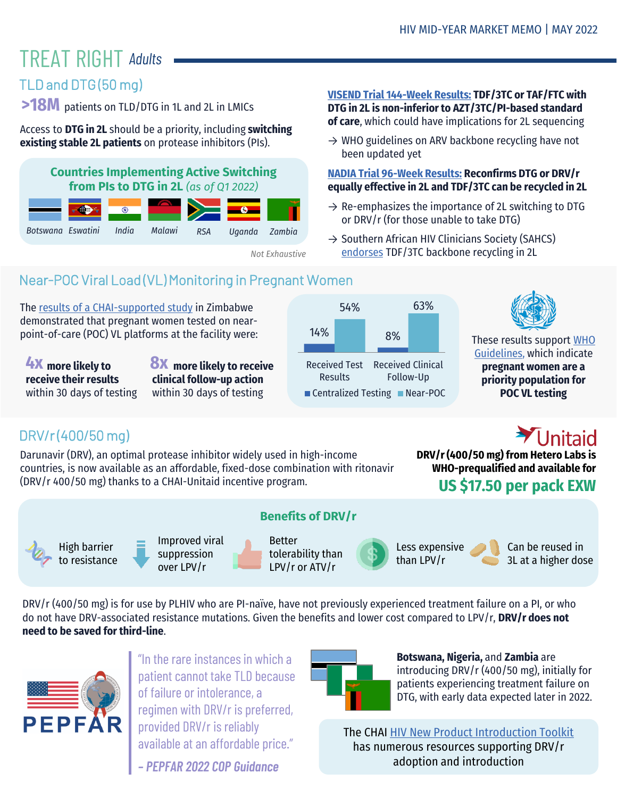## **TREAT RIGHT Adults**

### TLD and DTG (50 mg)

**>18M** patients on TLD/DTG in 1L and 2L in LMICs

Access to **DTG in 2L** should be a priority, including **switching existing stable 2L patients** on protease inhibitors (PIs).

### **Countries Implementing Active Switching from PIs to DTG in 2L** *(as of Q1 2022)*



*Not Exhaustive*

### **[VISEND Trial 144-Week Results:](https://www.croiconference.org/abstract/dolutegravir-with-recycled-nrtis-is-noninferior-to-pi-based-art-visend-trial/) TDF/3TC or TAF/FTC with DTG in 2L is non-inferior to AZT/3TC/PI-based standard of care**, which could have implications for 2L sequencing

 $\rightarrow$  WHO guidelines on ARV backbone recycling have not been updated yet

### **[NADIA Trial 96-Week Results:](https://www.croiconference.org/abstract/nucleosides-and-darunavir-dolutegravir-in-africa-nadia-trial-outcomes-at-96-weeks/) Reconfirms DTG or DRV/r equally effective in 2L and TDF/3TC can be recycled in 2L**

- $\rightarrow$  Re-emphasizes the importance of 2L switching to DTG or DRV/r (for those unable to take DTG)
- → Southern African HIV Clinicians Society (SAHCS) [endorses](https://sahivsoc.org/Files/SAHCS%20clinical%20statement_TLD%20switching_20220513.pdf) TDF/3TC backbone recycling in 2L

### Near-POC Viral Load (VL) Monitoring in Pregnant Women

The [results of a CHAI-supported study](https://www.clintonhealthaccess.org/chai-supported-study-in-zimbabwe-demonstrates-value-of-point-of-care-viral-load-testing-for-pregnant-women-living-with-hiv/) in Zimbabwe demonstrated that pregnant women tested on nearpoint-of-care (POC) VL platforms at the facility were:

**4X** more likely to **8X receive their results**  within 30 days of testing

**8X** more likely to receive **clinical follow-up action**  within 30 days of testing





[These results support WHO](https://www.who.int/publications/i/item/9789240031593) Guidelines, which indicate **pregnant women are a priority population for POC VL testing**

### DRV/r (400/50 mg)

Darunavir (DRV), an optimal protease inhibitor widely used in high-income countries, is now available as an affordable, fixed-dose combination with ritonavir (DRV/r 400/50 mg) thanks to a CHAI-Unitaid incentive program.

Unitaid

**US \$17.50 per pack EXW DRV/r (400/50 mg) from Hetero Labs is WHO-prequalified and available for** 

High barrier to resistance Improved viral suppression over LPV/r



Better tolerability than LPV/r or ATV/r

**Benefits of DRV/r**



Less expensive than LPV/r

Can be reused in 3L at a higher dose

DRV/r (400/50 mg) is for use by PLHIV who are PI-naïve, have not previously experienced treatment failure on a PI, or who do not have DRV-associated resistance mutations. Given the benefits and lower cost compared to LPV/r, **DRV/r does not need to be saved for third-line**.



"In the rare instances in which a patient cannot take TLD because of failure or intolerance, a regimen with DRV/r is preferred, provided DRV/r is reliably available at an affordable price."

*– PEPFAR 2022 COP Guidance*



**Botswana, Nigeria,** and **Zambia** are introducing DRV/r (400/50 mg), initially for patients experiencing treatment failure on DTG, with early data expected later in 2022.

The CHAI [HIV New Product Introduction Toolkit](https://www.newhivdrugs.org/drv-r) has numerous resources supporting DRV/r adoption and introduction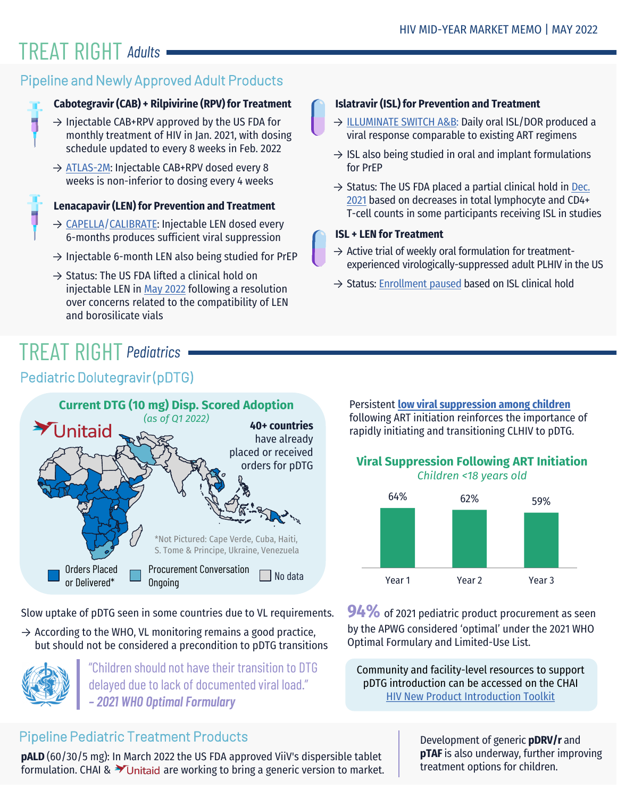## **TREAT RIGHT Adults**

### Pipeline and Newly Approved Adult Products

### **Cabotegravir (CAB) + Rilpivirine (RPV) for Treatment**

- $\rightarrow$  Injectable CAB+RPV approved by the US FDA for monthly treatment of HIV in Jan. 2021, with dosing schedule updated to every 8 weeks in Feb. 2022
- → [ATLAS-2M:](https://www.thelancet.com/journals/lanhiv/article/PIIS2352-3018(21)00185-5/fulltext?utm_source=AVAC+Email+Updates&utm_campaign=bcd9851ff6-EMAIL_CAMPAIGN_2021_10_15_12_52&utm_medium=email&utm_term=0_6fd730be57-bcd9851ff6-182779455) Injectable CAB+RPV dosed every 8 weeks is non-inferior to dosing every 4 weeks

- → [CAPELLA/](https://www.croiconference.org/abstract/long-acting-lenacapavir-in-people-with-multidrug-resistant-hiv-1-week-52-results/)[CALIBRATE:](https://www.croiconference.org/abstract/lenacapavir-as-part-of-a-combination-regimen-in-treatment-naive-pwh-week-54-results/) Injectable LEN dosed every 6-months produces sufficient viral suppression
- $\rightarrow$  Injectable 6-month LEN also being studied for PrEP
- $\rightarrow$  Status: The US FDA lifted a clinical hold on injectable LEN in [May 2022](https://www.gilead.com/news-and-press/press-room/press-releases/2022/5/fda-lifts-clinical-hold-on-investigational-lenacapavir-for-the-treatment-and-prevention-of-hiv) following a resolution over concerns related to the compatibility of LEN and borosilicate vials

## **TREAT RIGHT Pediatrics**

### Pediatric Dolutegravir (pDTG)



Slow uptake of pDTG seen in some countries due to VL requirements.

 $\rightarrow$  According to the WHO, VL monitoring remains a good practice, but should not be considered a precondition to pDTG transitions



"Children should not have their transition to DTG delayed due to lack of documented viral load." *– 2021 WHO Optimal Formulary*

### Pipeline Pediatric Treatment Products

**pALD** (60/30/5 mg): In March 2022 the US FDA approved ViiV's dispersible tablet formulation. CHAI &  $\blacktriangleright$  Unitaid are working to bring a generic version to market.

### **Islatravir (ISL) for Prevention and Treatment**

- → [ILLUMINATE SWITCH A&B](https://www.merck.com/news/merck-announces-positive-top-line-results-from-pivotal-phase-3-trials-evaluating-investigational-once-daily-oral-fixed-dose-combination-of-doravirine-islatravir-for-the-treatment-of-people-with-hiv-1/): Daily oral ISL/DOR produced a viral response comparable to existing ART regimens
- $\rightarrow$  ISL also being studied in oral and implant formulations for PrEP
- $\rightarrow$  Status: The US FDA placed a partial clinical hold in Dec. 2021 based on decreases in total lymphocyte and CD4+ **The Exercise Exercises in total counts in some participants receiving ISL in studies**<br>T-cell counts in some participants receiving ISL in studies

### **ISL + LEN for Treatment**

- $\rightarrow$  Active trial of weekly oral formulation for treatmentexperienced virologically-suppressed adult PLHIV in the US
- $\rightarrow$  Status: [Enrollment paused](https://www.gilead.com/news-and-press/company-statements/gilead-and-merck-announce-temporary-pause-in-enrollment-for-phase-2-study-evaluating-an-oral-weekly-combination-regimen-of-investigational-islatravir-and-investigational-lenacapavir) based on ISL clinical hold

Persistent **[low viral suppression among children](https://www.thelancet.com/journals/lanhiv/article/PIIS2352-3018(21)00265-4/fulltext?utm_source=AVAC+Email+Updates&utm_campaign=5b2af591c1-EMAIL_CAMPAIGN_2021_12_10_01_46&utm_medium=email&utm_term=0_6fd730be57-5b2af591c1-182779455)** following ART initiation reinforces the importance of rapidly initiating and transitioning CLHIV to pDTG.

### **Viral Suppression Following ART Initiation** *Children <18 years old*



**94%** of 2021 pediatric product procurement as seen by the APWG considered 'optimal' under the 2021 WHO Optimal Formulary and Limited-Use List.

Community and facility-level resources to support pDTG introduction can be accessed on the CHAI [HIV New Product Introduction Toolkit](https://www.newhivdrugs.org/pediatric-dtg)

> Development of generic **pDRV/r** and **pTAF** is also underway, further improving treatment options for children.